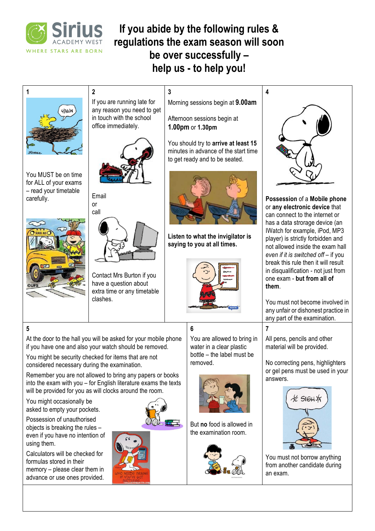

# **If you abide by the following rules & regulations the exam season will soon be over successfully – help us - to help you!**

**3**



You MUST be on time for ALL of your exams – read your timetable carefully.



If you are running late for any reason you need to get in touch with the school office immediately.

**2**

or



Email call



Contact Mrs Burton if you have a question about extra time or any timetable clashes.

Morning sessions begin at **9.00am**

Afternoon sessions begin at **1.00pm** or **1.30pm**

You should try to **arrive at least 15** minutes in advance of the start time to get ready and to be seated.



**Listen to what the invigilator is saying to you at all times.** 



**6**

You are allowed to bring in water in a clear plastic bottle – the label must be removed.



But **no** food is allowed in the examination room.





**Possession** of a **Mobile phone** or **any electronic device** that can connect to the internet or has a data strorage device (an IWatch for example, iPod, MP3 player) is strictly forbidden and not allowed inside the exam hall *even if it is switched off* – if you break this rule then it will result in disqualification - not just from one exam - **but from all of them**.

You must not become involved in any unfair or dishonest practice in any part of the examination.

All pens, pencils and other material will be provided.

**7**

No correcting pens, highlighters or gel pens must be used in your answers.



You must not borrow anything from another candidate during an exam.



## **5**

At the door to the hall you will be asked for your mobile phone if you have one and also your watch should be removed.

You might be security checked for items that are not considered necessary during the examination.

Remember you are not allowed to bring any papers or books into the exam with you – for English literature exams the texts will be provided for you as will clocks around the room.

You might occasionally be asked to empty your pockets.

Possession of unauthorised objects is breaking the rules – even if you have no intention of using them.

Calculators will be checked for formulas stored in their memory – please clear them in advance or use ones provided.